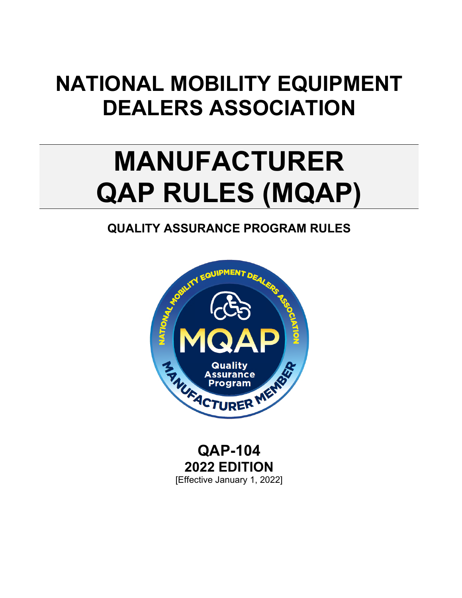## **NATIONAL MOBILITY EQUIPMENT DEALERS ASSOCIATION**

# **MANUFACTURER QAP RULES (MQAP)**

## **QUALITY ASSURANCE PROGRAM RULES**



**QAP-104 2022 EDITION** [Effective January 1, 2022]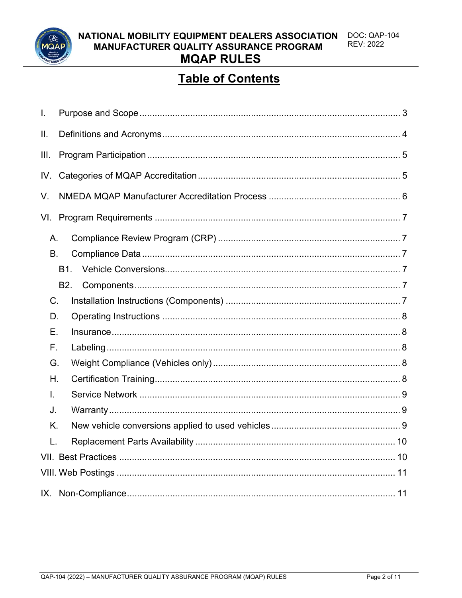

**DOC: QAP-104** NATIONAL MOBILITY EQUIPMENT DEALERS ASSOCIATION **REV: 2022** MANUFACTURER QUALITY ASSURANCE PROGRAM **MQAP RULES** 

### **Table of Contents**

| I.          |                |  |  |  |
|-------------|----------------|--|--|--|
| ΙΙ.         |                |  |  |  |
| III.        |                |  |  |  |
| IV.         |                |  |  |  |
| V.          |                |  |  |  |
| VI.         |                |  |  |  |
| Α.          |                |  |  |  |
| <b>B.</b>   |                |  |  |  |
|             | <b>B1.</b>     |  |  |  |
|             | B <sub>2</sub> |  |  |  |
| $C_{\cdot}$ |                |  |  |  |
| D.          |                |  |  |  |
| Е.          |                |  |  |  |
| F.          |                |  |  |  |
| G.          |                |  |  |  |
| Η.          |                |  |  |  |
| L.          |                |  |  |  |
| J.          |                |  |  |  |
| Κ.          |                |  |  |  |
| L.          |                |  |  |  |
|             |                |  |  |  |
|             |                |  |  |  |
|             |                |  |  |  |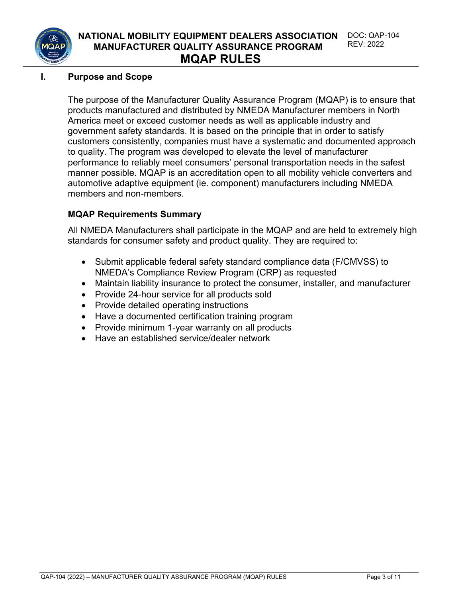

#### **I. Purpose and Scope**

The purpose of the Manufacturer Quality Assurance Program (MQAP) is to ensure that products manufactured and distributed by NMEDA Manufacturer members in North America meet or exceed customer needs as well as applicable industry and government safety standards. It is based on the principle that in order to satisfy customers consistently, companies must have a systematic and documented approach to quality. The program was developed to elevate the level of manufacturer performance to reliably meet consumers' personal transportation needs in the safest manner possible. MQAP is an accreditation open to all mobility vehicle converters and automotive adaptive equipment (ie. component) manufacturers including NMEDA members and non-members.

#### **MQAP Requirements Summary**

All NMEDA Manufacturers shall participate in the MQAP and are held to extremely high standards for consumer safety and product quality. They are required to:

- Submit applicable federal safety standard compliance data (F/CMVSS) to NMEDA's Compliance Review Program (CRP) as requested
- Maintain liability insurance to protect the consumer, installer, and manufacturer
- Provide 24-hour service for all products sold
- Provide detailed operating instructions
- Have a documented certification training program
- Provide minimum 1-year warranty on all products
- Have an established service/dealer network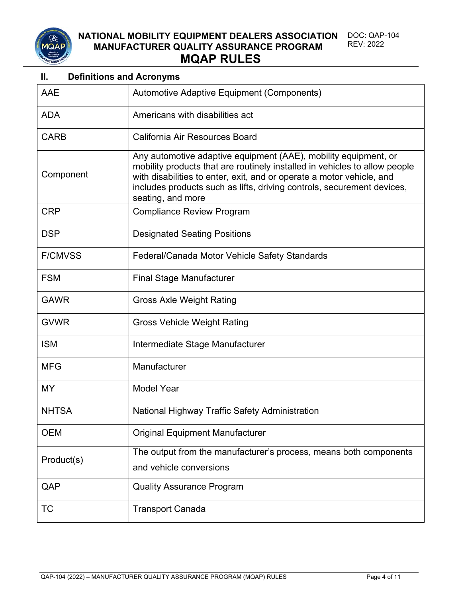

#### **NATIONAL MOBILITY EQUIPMENT DEALERS ASSOCIATION MANUFACTURER QUALITY ASSURANCE PROGRAM** DOC: QAP-104 REV: 2022 **MQAP RULES**

#### **II. Definitions and Acronyms**

| AAE            | Automotive Adaptive Equipment (Components)                                                                                                                                                                                                                                                                            |
|----------------|-----------------------------------------------------------------------------------------------------------------------------------------------------------------------------------------------------------------------------------------------------------------------------------------------------------------------|
| <b>ADA</b>     | Americans with disabilities act                                                                                                                                                                                                                                                                                       |
| <b>CARB</b>    | California Air Resources Board                                                                                                                                                                                                                                                                                        |
| Component      | Any automotive adaptive equipment (AAE), mobility equipment, or<br>mobility products that are routinely installed in vehicles to allow people<br>with disabilities to enter, exit, and or operate a motor vehicle, and<br>includes products such as lifts, driving controls, securement devices,<br>seating, and more |
| <b>CRP</b>     | <b>Compliance Review Program</b>                                                                                                                                                                                                                                                                                      |
| <b>DSP</b>     | <b>Designated Seating Positions</b>                                                                                                                                                                                                                                                                                   |
| <b>F/CMVSS</b> | Federal/Canada Motor Vehicle Safety Standards                                                                                                                                                                                                                                                                         |
| <b>FSM</b>     | <b>Final Stage Manufacturer</b>                                                                                                                                                                                                                                                                                       |
| <b>GAWR</b>    | <b>Gross Axle Weight Rating</b>                                                                                                                                                                                                                                                                                       |
| <b>GVWR</b>    | <b>Gross Vehicle Weight Rating</b>                                                                                                                                                                                                                                                                                    |
| <b>ISM</b>     | Intermediate Stage Manufacturer                                                                                                                                                                                                                                                                                       |
| <b>MFG</b>     | Manufacturer                                                                                                                                                                                                                                                                                                          |
| <b>MY</b>      | <b>Model Year</b>                                                                                                                                                                                                                                                                                                     |
| <b>NHTSA</b>   | National Highway Traffic Safety Administration                                                                                                                                                                                                                                                                        |
| <b>OEM</b>     | <b>Original Equipment Manufacturer</b>                                                                                                                                                                                                                                                                                |
| Product(s)     | The output from the manufacturer's process, means both components<br>and vehicle conversions                                                                                                                                                                                                                          |
| QAP            | <b>Quality Assurance Program</b>                                                                                                                                                                                                                                                                                      |
| TC             | <b>Transport Canada</b>                                                                                                                                                                                                                                                                                               |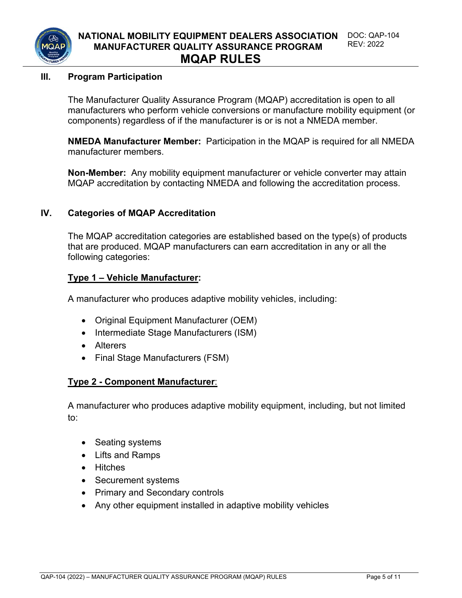

#### **III. Program Participation**

The Manufacturer Quality Assurance Program (MQAP) accreditation is open to all manufacturers who perform vehicle conversions or manufacture mobility equipment (or components) regardless of if the manufacturer is or is not a NMEDA member.

**NMEDA Manufacturer Member:** Participation in the MQAP is required for all NMEDA manufacturer members.

**Non-Member:** Any mobility equipment manufacturer or vehicle converter may attain MQAP accreditation by contacting NMEDA and following the accreditation process.

#### **IV. Categories of MQAP Accreditation**

The MQAP accreditation categories are established based on the type(s) of products that are produced. MQAP manufacturers can earn accreditation in any or all the following categories:

#### **Type 1 – Vehicle Manufacturer:**

A manufacturer who produces adaptive mobility vehicles, including:

- Original Equipment Manufacturer (OEM)
- Intermediate Stage Manufacturers (ISM)
- Alterers
- Final Stage Manufacturers (FSM)

#### **Type 2 - Component Manufacturer**:

A manufacturer who produces adaptive mobility equipment, including, but not limited to:

- Seating systems
- Lifts and Ramps
- Hitches
- Securement systems
- Primary and Secondary controls
- Any other equipment installed in adaptive mobility vehicles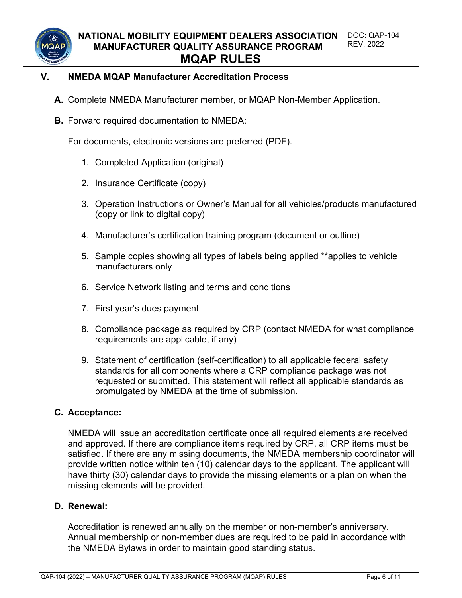

#### **V. NMEDA MQAP Manufacturer Accreditation Process**

- **A.** Complete NMEDA Manufacturer member, or MQAP Non-Member Application.
- **B.** Forward required documentation to NMEDA:

For documents, electronic versions are preferred (PDF).

- 1. Completed Application (original)
- 2. Insurance Certificate (copy)
- 3. Operation Instructions or Owner's Manual for all vehicles/products manufactured (copy or link to digital copy)
- 4. Manufacturer's certification training program (document or outline)
- 5. Sample copies showing all types of labels being applied \*\*applies to vehicle manufacturers only
- 6. Service Network listing and terms and conditions
- 7. First year's dues payment
- 8. Compliance package as required by CRP (contact NMEDA for what compliance requirements are applicable, if any)
- 9. Statement of certification (self-certification) to all applicable federal safety standards for all components where a CRP compliance package was not requested or submitted. This statement will reflect all applicable standards as promulgated by NMEDA at the time of submission.

#### **C. Acceptance:**

NMEDA will issue an accreditation certificate once all required elements are received and approved. If there are compliance items required by CRP, all CRP items must be satisfied. If there are any missing documents, the NMEDA membership coordinator will provide written notice within ten (10) calendar days to the applicant. The applicant will have thirty (30) calendar days to provide the missing elements or a plan on when the missing elements will be provided.

#### **D. Renewal:**

Accreditation is renewed annually on the member or non-member's anniversary. Annual membership or non-member dues are required to be paid in accordance with the NMEDA Bylaws in order to maintain good standing status.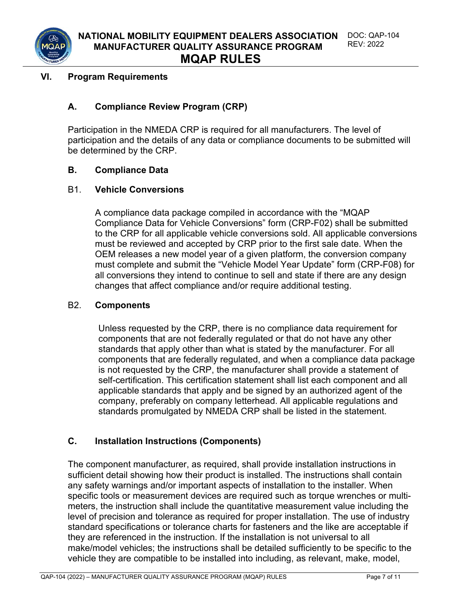

#### **VI. Program Requirements**

#### **A. Compliance Review Program (CRP)**

Participation in the NMEDA CRP is required for all manufacturers. The level of participation and the details of any data or compliance documents to be submitted will be determined by the CRP.

#### **B. Compliance Data**

#### B1. **Vehicle Conversions**

A compliance data package compiled in accordance with the "MQAP Compliance Data for Vehicle Conversions" form (CRP-F02) shall be submitted to the CRP for all applicable vehicle conversions sold. All applicable conversions must be reviewed and accepted by CRP prior to the first sale date. When the OEM releases a new model year of a given platform, the conversion company must complete and submit the "Vehicle Model Year Update" form (CRP-F08) for all conversions they intend to continue to sell and state if there are any design changes that affect compliance and/or require additional testing.

#### B2. **Components**

Unless requested by the CRP, there is no compliance data requirement for components that are not federally regulated or that do not have any other standards that apply other than what is stated by the manufacturer. For all components that are federally regulated, and when a compliance data package is not requested by the CRP, the manufacturer shall provide a statement of self-certification. This certification statement shall list each component and all applicable standards that apply and be signed by an authorized agent of the company, preferably on company letterhead. All applicable regulations and standards promulgated by NMEDA CRP shall be listed in the statement.

#### **C. Installation Instructions (Components)**

The component manufacturer, as required, shall provide installation instructions in sufficient detail showing how their product is installed. The instructions shall contain any safety warnings and/or important aspects of installation to the installer. When specific tools or measurement devices are required such as torque wrenches or multimeters, the instruction shall include the quantitative measurement value including the level of precision and tolerance as required for proper installation. The use of industry standard specifications or tolerance charts for fasteners and the like are acceptable if they are referenced in the instruction. If the installation is not universal to all make/model vehicles; the instructions shall be detailed sufficiently to be specific to the vehicle they are compatible to be installed into including, as relevant, make, model,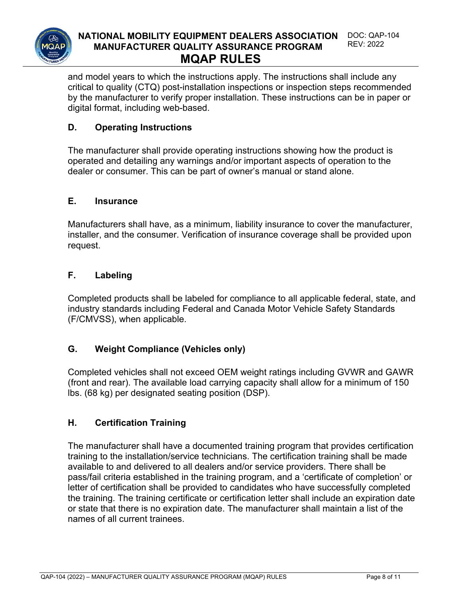

#### **NATIONAL MOBILITY EQUIPMENT DEALERS ASSOCIATION MANUFACTURER QUALITY ASSURANCE PROGRAM** DOC: QAP-104 REV: 2022 **MQAP RULES**

and model years to which the instructions apply. The instructions shall include any critical to quality (CTQ) post-installation inspections or inspection steps recommended by the manufacturer to verify proper installation. These instructions can be in paper or digital format, including web-based.

#### **D. Operating Instructions**

The manufacturer shall provide operating instructions showing how the product is operated and detailing any warnings and/or important aspects of operation to the dealer or consumer. This can be part of owner's manual or stand alone.

#### **E. Insurance**

Manufacturers shall have, as a minimum, liability insurance to cover the manufacturer, installer, and the consumer. Verification of insurance coverage shall be provided upon request.

#### **F. Labeling**

Completed products shall be labeled for compliance to all applicable federal, state, and industry standards including Federal and Canada Motor Vehicle Safety Standards (F/CMVSS), when applicable.

#### **G. Weight Compliance (Vehicles only)**

Completed vehicles shall not exceed OEM weight ratings including GVWR and GAWR (front and rear). The available load carrying capacity shall allow for a minimum of 150 lbs. (68 kg) per designated seating position (DSP).

#### **H. Certification Training**

The manufacturer shall have a documented training program that provides certification training to the installation/service technicians. The certification training shall be made available to and delivered to all dealers and/or service providers. There shall be pass/fail criteria established in the training program, and a 'certificate of completion' or letter of certification shall be provided to candidates who have successfully completed the training. The training certificate or certification letter shall include an expiration date or state that there is no expiration date. The manufacturer shall maintain a list of the names of all current trainees.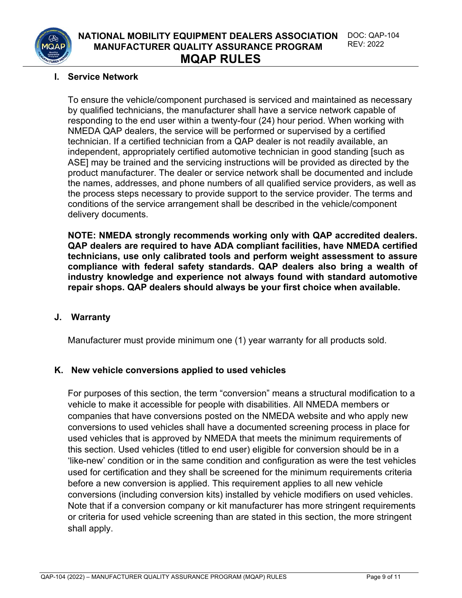

#### **I. Service Network**

To ensure the vehicle/component purchased is serviced and maintained as necessary by qualified technicians, the manufacturer shall have a service network capable of responding to the end user within a twenty-four (24) hour period. When working with NMEDA QAP dealers, the service will be performed or supervised by a certified technician. If a certified technician from a QAP dealer is not readily available, an independent, appropriately certified automotive technician in good standing [such as ASE] may be trained and the servicing instructions will be provided as directed by the product manufacturer. The dealer or service network shall be documented and include the names, addresses, and phone numbers of all qualified service providers, as well as the process steps necessary to provide support to the service provider. The terms and conditions of the service arrangement shall be described in the vehicle/component delivery documents.

**NOTE: NMEDA strongly recommends working only with QAP accredited dealers. QAP dealers are required to have ADA compliant facilities, have NMEDA certified technicians, use only calibrated tools and perform weight assessment to assure compliance with federal safety standards. QAP dealers also bring a wealth of industry knowledge and experience not always found with standard automotive repair shops. QAP dealers should always be your first choice when available.**

#### **J. Warranty**

Manufacturer must provide minimum one (1) year warranty for all products sold.

#### **K. New vehicle conversions applied to used vehicles**

For purposes of this section, the term "conversion" means a structural modification to a vehicle to make it accessible for people with disabilities. All NMEDA members or companies that have conversions posted on the NMEDA website and who apply new conversions to used vehicles shall have a documented screening process in place for used vehicles that is approved by NMEDA that meets the minimum requirements of this section. Used vehicles (titled to end user) eligible for conversion should be in a 'like-new' condition or in the same condition and configuration as were the test vehicles used for certification and they shall be screened for the minimum requirements criteria before a new conversion is applied. This requirement applies to all new vehicle conversions (including conversion kits) installed by vehicle modifiers on used vehicles. Note that if a conversion company or kit manufacturer has more stringent requirements or criteria for used vehicle screening than are stated in this section, the more stringent shall apply.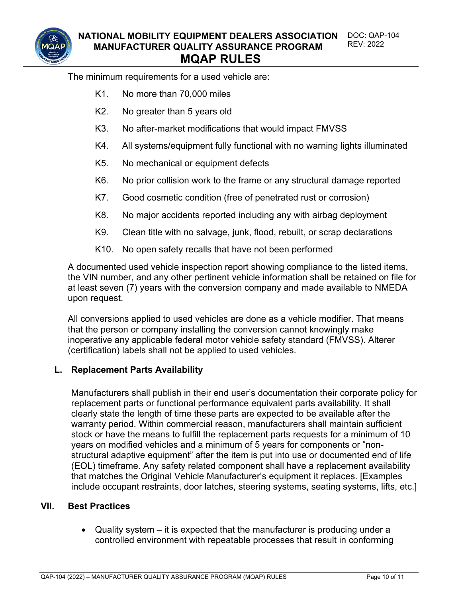

The minimum requirements for a used vehicle are:

- K1. No more than 70,000 miles
- K2. No greater than 5 years old
- K3. No after-market modifications that would impact FMVSS
- K4. All systems/equipment fully functional with no warning lights illuminated
- K5. No mechanical or equipment defects
- K6. No prior collision work to the frame or any structural damage reported
- K7. Good cosmetic condition (free of penetrated rust or corrosion)
- K8. No major accidents reported including any with airbag deployment
- K9. Clean title with no salvage, junk, flood, rebuilt, or scrap declarations
- K10. No open safety recalls that have not been performed

A documented used vehicle inspection report showing compliance to the listed items, the VIN number, and any other pertinent vehicle information shall be retained on file for at least seven (7) years with the conversion company and made available to NMEDA upon request.

All conversions applied to used vehicles are done as a vehicle modifier. That means that the person or company installing the conversion cannot knowingly make inoperative any applicable federal motor vehicle safety standard (FMVSS). Alterer (certification) labels shall not be applied to used vehicles.

#### **L. Replacement Parts Availability**

Manufacturers shall publish in their end user's documentation their corporate policy for replacement parts or functional performance equivalent parts availability. It shall clearly state the length of time these parts are expected to be available after the warranty period. Within commercial reason, manufacturers shall maintain sufficient stock or have the means to fulfill the replacement parts requests for a minimum of 10 years on modified vehicles and a minimum of 5 years for components or "nonstructural adaptive equipment" after the item is put into use or documented end of life (EOL) timeframe. Any safety related component shall have a replacement availability that matches the Original Vehicle Manufacturer's equipment it replaces. [Examples include occupant restraints, door latches, steering systems, seating systems, lifts, etc.]

#### **VII. Best Practices**

• Quality system  $-$  it is expected that the manufacturer is producing under a controlled environment with repeatable processes that result in conforming